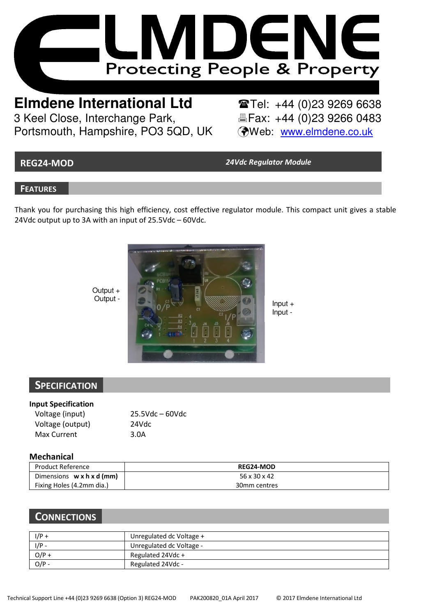

**Elmdene International Ltd**<br> **Tel:** +44 (0)23 9266 0483<br> **Tel:** +44 (0)23 9266 0483 3 Keel Close, Interchange Park. Portsmouth, Hampshire, PO3 5QD, UK (Web: www.elmdene.co.uk)

REG24-MOD 24Vdc Regulator Module

Input -

## **FEATURES**

Thank you for purchasing this high efficiency, cost effective regulator module. This compact unit gives a stable 24Vdc output up to 3A with an input of 25.5Vdc – 60Vdc.



Output +<br>Output -

# **SPECIFICATION**

#### Input Specification

| Voltage (input)  | $25.5Vdc - 60Vdc$ |
|------------------|-------------------|
| Voltage (output) | 24Vdc             |
| Max Current      | 3.0A              |

# Mechanical

| Product Reference                     | <b>REG24-MOD</b> |
|---------------------------------------|------------------|
| Dimensions $w \times h \times d$ (mm) | 56 x 30 x 42     |
| Fixing Holes (4.2mm dia.)             | 30mm centres     |

# **CONNECTIONS**

| $I/P +$ | Unregulated dc Voltage + |
|---------|--------------------------|
| $1/P -$ | Unregulated dc Voltage - |
| $O/P +$ | Regulated 24Vdc +        |
| $O/P -$ | Regulated 24Vdc -        |